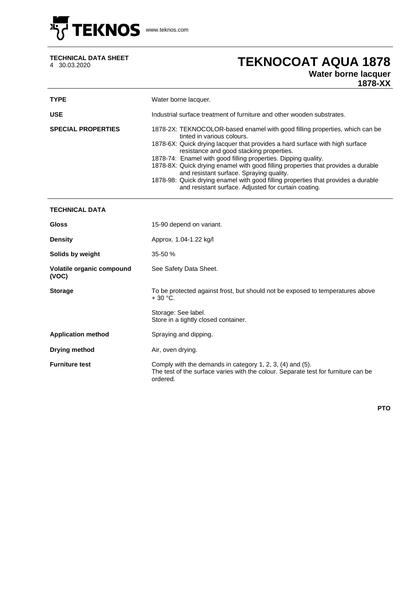

## **TECHNICAL DATA SHEET**

## 4 30.03.2020 **TEKNOCOAT AQUA 1878**

## **Water borne lacquer**

**1878-XX**

| <b>TYPE</b>                        | Water borne lacquer.                                                                                                                                                                                                                                                                                                                                                                                                                                                                                                                                                                  |  |  |
|------------------------------------|---------------------------------------------------------------------------------------------------------------------------------------------------------------------------------------------------------------------------------------------------------------------------------------------------------------------------------------------------------------------------------------------------------------------------------------------------------------------------------------------------------------------------------------------------------------------------------------|--|--|
| <b>USE</b>                         | Industrial surface treatment of furniture and other wooden substrates.                                                                                                                                                                                                                                                                                                                                                                                                                                                                                                                |  |  |
| <b>SPECIAL PROPERTIES</b>          | 1878-2X: TEKNOCOLOR-based enamel with good filling properties, which can be<br>tinted in various colours.<br>1878-6X: Quick drying lacquer that provides a hard surface with high surface<br>resistance and good stacking properties.<br>1878-74: Enamel with good filling properties. Dipping quality.<br>1878-8X: Quick drying enamel with good filling properties that provides a durable<br>and resistant surface. Spraying quality.<br>1878-98: Quick drying enamel with good filling properties that provides a durable<br>and resistant surface. Adjusted for curtain coating. |  |  |
| <b>TECHNICAL DATA</b>              |                                                                                                                                                                                                                                                                                                                                                                                                                                                                                                                                                                                       |  |  |
| <b>Gloss</b>                       | 15-90 depend on variant.                                                                                                                                                                                                                                                                                                                                                                                                                                                                                                                                                              |  |  |
| <b>Density</b>                     | Approx. 1.04-1.22 kg/l                                                                                                                                                                                                                                                                                                                                                                                                                                                                                                                                                                |  |  |
| Solids by weight                   | 35-50 %                                                                                                                                                                                                                                                                                                                                                                                                                                                                                                                                                                               |  |  |
| Volatile organic compound<br>(VOC) | See Safety Data Sheet.                                                                                                                                                                                                                                                                                                                                                                                                                                                                                                                                                                |  |  |
| <b>Storage</b>                     | To be protected against frost, but should not be exposed to temperatures above<br>$+30 °C.$                                                                                                                                                                                                                                                                                                                                                                                                                                                                                           |  |  |
|                                    | Storage: See label.<br>Store in a tightly closed container.                                                                                                                                                                                                                                                                                                                                                                                                                                                                                                                           |  |  |
| <b>Application method</b>          | Spraying and dipping.                                                                                                                                                                                                                                                                                                                                                                                                                                                                                                                                                                 |  |  |
| <b>Drying method</b>               | Air, oven drying.                                                                                                                                                                                                                                                                                                                                                                                                                                                                                                                                                                     |  |  |
| <b>Furniture test</b>              | Comply with the demands in category 1, 2, 3, (4) and (5).<br>The test of the surface varies with the colour. Separate test for furniture can be<br>ordered.                                                                                                                                                                                                                                                                                                                                                                                                                           |  |  |